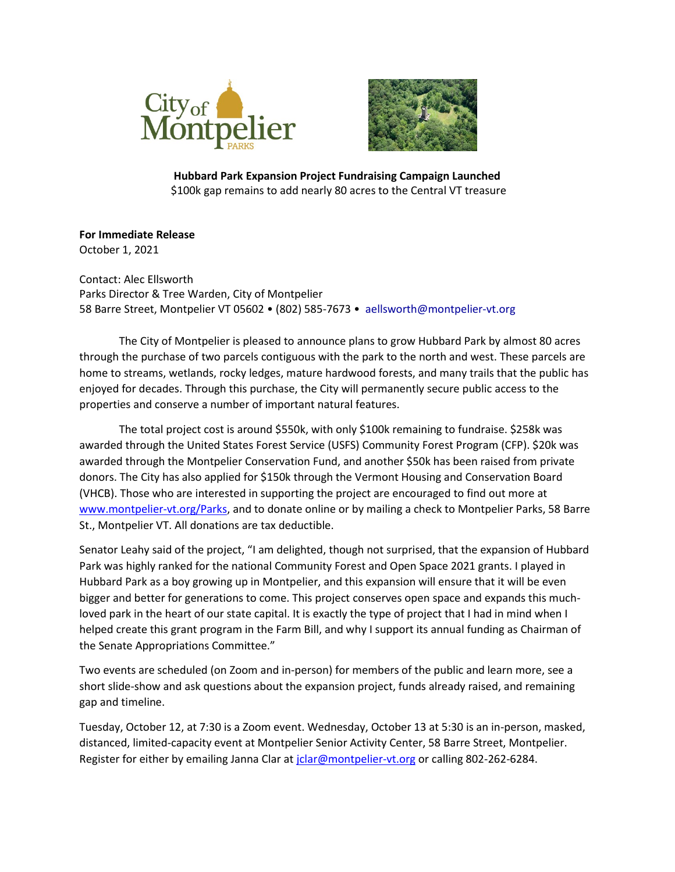



**Hubbard Park Expansion Project Fundraising Campaign Launched** \$100k gap remains to add nearly 80 acres to the Central VT treasure

**For Immediate Release** October 1, 2021

Contact: Alec Ellsworth Parks Director & Tree Warden, City of Montpelier 58 Barre Street, Montpelier VT 05602 • (802) 585-7673 • aellsworth@montpelier-vt.org

The City of Montpelier is pleased to announce plans to grow Hubbard Park by almost 80 acres through the purchase of two parcels contiguous with the park to the north and west. These parcels are home to streams, wetlands, rocky ledges, mature hardwood forests, and many trails that the public has enjoyed for decades. Through this purchase, the City will permanently secure public access to the properties and conserve a number of important natural features.

The total project cost is around \$550k, with only \$100k remaining to fundraise. \$258k was awarded through the United States Forest Service (USFS) Community Forest Program (CFP). \$20k was awarded through the Montpelier Conservation Fund, and another \$50k has been raised from private donors. The City has also applied for \$150k through the Vermont Housing and Conservation Board (VHCB). Those who are interested in supporting the project are encouraged to find out more at [www.montpelier-vt.org/Parks,](http://www.montpelier-vt.org/Parks) and to donate online or by mailing a check to Montpelier Parks, 58 Barre St., Montpelier VT. All donations are tax deductible.

Senator Leahy said of the project, "I am delighted, though not surprised, that the expansion of Hubbard Park was highly ranked for the national Community Forest and Open Space 2021 grants. I played in Hubbard Park as a boy growing up in Montpelier, and this expansion will ensure that it will be even bigger and better for generations to come. This project conserves open space and expands this muchloved park in the heart of our state capital. It is exactly the type of project that I had in mind when I helped create this grant program in the Farm Bill, and why I support its annual funding as Chairman of the Senate Appropriations Committee."

Two events are scheduled (on Zoom and in-person) for members of the public and learn more, see a short slide-show and ask questions about the expansion project, funds already raised, and remaining gap and timeline.

Tuesday, October 12, at 7:30 is a Zoom event. Wednesday, October 13 at 5:30 is an in-person, masked, distanced, limited-capacity event at Montpelier Senior Activity Center, 58 Barre Street, Montpelier. Register for either by emailing Janna Clar at jolar@montpelier-vt.org or calling 802-262-6284.